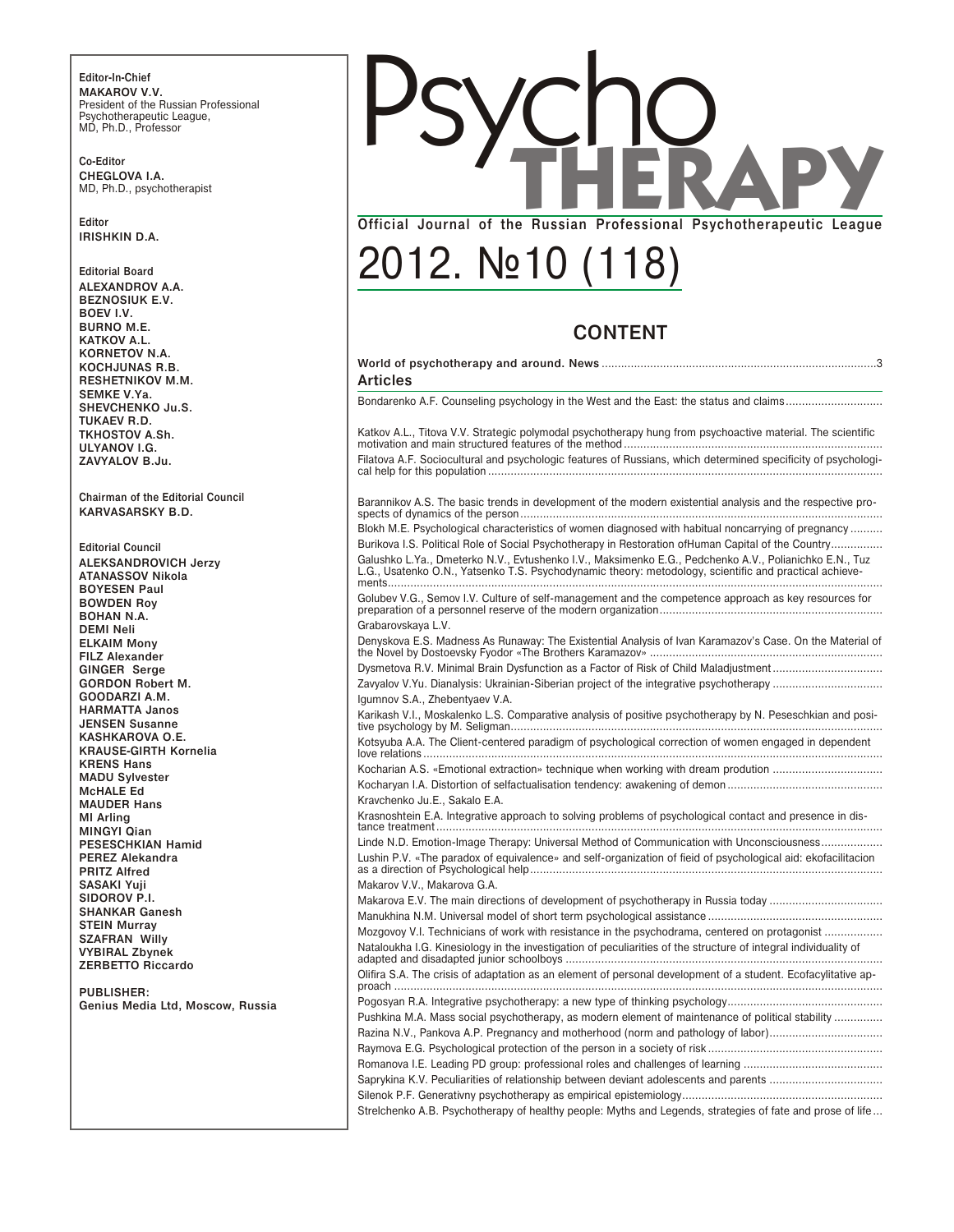Editor-In-Chief MAKAROV V.V. President of the Russian Professional President of the nuclear response Psychotherapeutic League,<br>MD, Ph.D., Professor

Co-Editor CHEGLOVA I.A. MD, Ph.D., psychotherapist

Editor **IRISHKIN D.A.** 

**Editorial Board** ALEXANDROV A.A. **BEZNOSIUK E.V.** BOEV I.V. **BURNO M.E.** KATKOV A.L. KORNETOV N.A. KOCHJUNAS R.B. RESHETNIKOV M.M. SEMKE V.Ya. SHEVCHENKO Ju.S. TUKAEV R.D. TKHOSTOV A.Sh. ULYANOV I.G. ZAVYALOV B.Ju.

Chairman of the Editorial Council KARVASARSKY B.D.

**Editorial Council ALEKSANDROVICH Jerzy ATANASSOV Nikola BOYESEN Paul BOWDEN Roy BOHAN N.A. DEMI Neli ELKAIM Mony** FILZ Alexander **GINGER Serge GORDON Robert M.** GOODARZI A.M. **HARMATTA Janos JENSEN Susanne** KASHKAROVA O.E. **KRAUSE-GIRTH Kornelia KRENS Hans** MADU Sylvester McHALE Ed **MAUDER Hans** MI Arling MINGYI Qian PESESCHKIAN Hamid **PEREZ Alekandra PRITZ Alfred** SASAKI Yuji SIDOROV<sub>P.I.</sub> **SHANKAR Ganesh STEIN Murray SZAFRAN Willy VYBIRAL Zbynek** ZERBETTO Riccardo

PUBLISHER: Genius Media Ltd, Moscow, Russia



## 2012. No 10 (118)

| <b>CONTENT</b>                                                                                                                                                                                                   |
|------------------------------------------------------------------------------------------------------------------------------------------------------------------------------------------------------------------|
|                                                                                                                                                                                                                  |
| Articles                                                                                                                                                                                                         |
| Bondarenko A.F. Counseling psychology in the West and the East: the status and claims                                                                                                                            |
| Katkov A.L., Titova V.V. Strategic polymodal psychotherapy hung from psychoactive material. The scientific                                                                                                       |
| Filatova A.F. Sociocultural and psychologic features of Russians, which determined specificity of psychologi-                                                                                                    |
| Barannikov A.S. The basic trends in development of the modern existential analysis and the respective pro-                                                                                                       |
| Blokh M.E. Psychological characteristics of women diagnosed with habitual noncarrying of pregnancy                                                                                                               |
| Burikova I.S. Political Role of Social Psychotherapy in Restoration of Human Capital of the Country                                                                                                              |
| Galushko L.Ya., Dmeterko N.V., Evtushenko I.V., Maksimenko E.G., Pedchenko A.V., Polianichko E.N., Tuz<br>L.G., Usatenko O.N., Yatsenko T.S. Psychodynamic theory: metodology, scientific and practical achieve- |
| Golubey V.G., Semov I.V. Culture of self-management and the competence approach as key resources for                                                                                                             |
| Grabarovskaya L.V.                                                                                                                                                                                               |
| Denyskova E.S. Madness As Runaway: The Existential Analysis of Ivan Karamazov's Case. On the Material of                                                                                                         |
| Dysmetova R.V. Minimal Brain Dysfunction as a Factor of Risk of Child Maladjustment                                                                                                                              |
|                                                                                                                                                                                                                  |
| Igumnov S.A., Zhebentyaev V.A.                                                                                                                                                                                   |
| Karikash V.I., Moskalenko L.S. Comparative analysis of positive psychotherapy by N. Peseschkian and posi-                                                                                                        |
| Kotsyuba A.A. The Client-centered paradigm of psychological correction of women engaged in dependent                                                                                                             |
| Kocharian A.S. «Emotional extraction» technique when working with dream prodution                                                                                                                                |
|                                                                                                                                                                                                                  |
| Kravchenko Ju.E., Sakalo E.A.                                                                                                                                                                                    |
| Krasnoshtein E.A. Integrative approach to solving problems of psychological contact and presence in dis-                                                                                                         |
| Linde N.D. Emotion-Image Therapy: Universal Method of Communication with Unconsciousness                                                                                                                         |
| Lushin P.V. «The paradox of equivalence» and self-organization of fieid of psychological aid: ekofacilitacion                                                                                                    |
| Makarov V.V., Makarova G.A.                                                                                                                                                                                      |
| Makarova E.V. The main directions of development of psychotherapy in Russia today                                                                                                                                |
|                                                                                                                                                                                                                  |
| Mozgovoy V.I. Technicians of work with resistance in the psychodrama, centered on protagonist                                                                                                                    |
| Nataloukha I.G. Kinesiology in the investigation of peculiarities of the structure of integral individuality of                                                                                                  |
| Olifira S.A. The crisis of adaptation as an element of personal development of a student. Ecofacylitative ap-                                                                                                    |
|                                                                                                                                                                                                                  |
| Pushkina M.A. Mass social psychotherapy, as modern element of maintenance of political stability                                                                                                                 |
| Razina N.V., Pankova A.P. Pregnancy and motherhood (norm and pathology of labor)                                                                                                                                 |
|                                                                                                                                                                                                                  |
|                                                                                                                                                                                                                  |
|                                                                                                                                                                                                                  |
|                                                                                                                                                                                                                  |
| Strelchenko A.B. Psychotherapy of healthy people: Myths and Legends, strategies of fate and prose of life                                                                                                        |